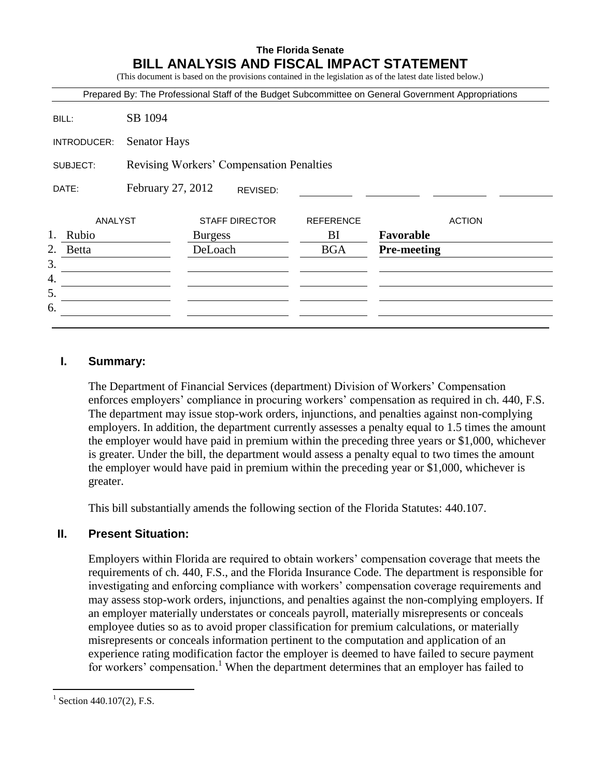# **The Florida Senate BILL ANALYSIS AND FISCAL IMPACT STATEMENT**

(This document is based on the provisions contained in the legislation as of the latest date listed below.)

|                                                      |                     |                       |                  | Prepared By: The Professional Staff of the Budget Subcommittee on General Government Appropriations |
|------------------------------------------------------|---------------------|-----------------------|------------------|-----------------------------------------------------------------------------------------------------|
| BILL:                                                | SB 1094             |                       |                  |                                                                                                     |
| INTRODUCER:                                          | <b>Senator Hays</b> |                       |                  |                                                                                                     |
| Revising Workers' Compensation Penalties<br>SUBJECT: |                     |                       |                  |                                                                                                     |
| DATE:                                                | February 27, 2012   | REVISED:              |                  |                                                                                                     |
| ANALYST                                              |                     | <b>STAFF DIRECTOR</b> | <b>REFERENCE</b> | <b>ACTION</b>                                                                                       |
| 1.<br>Rubio                                          |                     | <b>Burgess</b>        | BI               | Favorable                                                                                           |
| 2.<br><b>Betta</b>                                   |                     | DeLoach               | <b>BGA</b>       | <b>Pre-meeting</b>                                                                                  |
| 3.                                                   |                     |                       |                  |                                                                                                     |
| 4.                                                   |                     |                       |                  |                                                                                                     |
|                                                      |                     |                       |                  |                                                                                                     |
| 5.                                                   |                     |                       |                  |                                                                                                     |

## **I. Summary:**

The Department of Financial Services (department) Division of Workers' Compensation enforces employers' compliance in procuring workers' compensation as required in ch. 440, F.S. The department may issue stop-work orders, injunctions, and penalties against non-complying employers. In addition, the department currently assesses a penalty equal to 1.5 times the amount the employer would have paid in premium within the preceding three years or \$1,000, whichever is greater. Under the bill, the department would assess a penalty equal to two times the amount the employer would have paid in premium within the preceding year or \$1,000, whichever is greater.

This bill substantially amends the following section of the Florida Statutes: 440.107.

# **II. Present Situation:**

Employers within Florida are required to obtain workers' compensation coverage that meets the requirements of ch. 440, F.S., and the Florida Insurance Code. The department is responsible for investigating and enforcing compliance with workers' compensation coverage requirements and may assess stop-work orders, injunctions, and penalties against the non-complying employers. If an employer materially understates or conceals payroll, materially misrepresents or conceals employee duties so as to avoid proper classification for premium calculations, or materially misrepresents or conceals information pertinent to the computation and application of an experience rating modification factor the employer is deemed to have failed to secure payment for workers' compensation.<sup>1</sup> When the department determines that an employer has failed to

 $\overline{a}$ 

<sup>&</sup>lt;sup>1</sup> Section 440.107(2), F.S.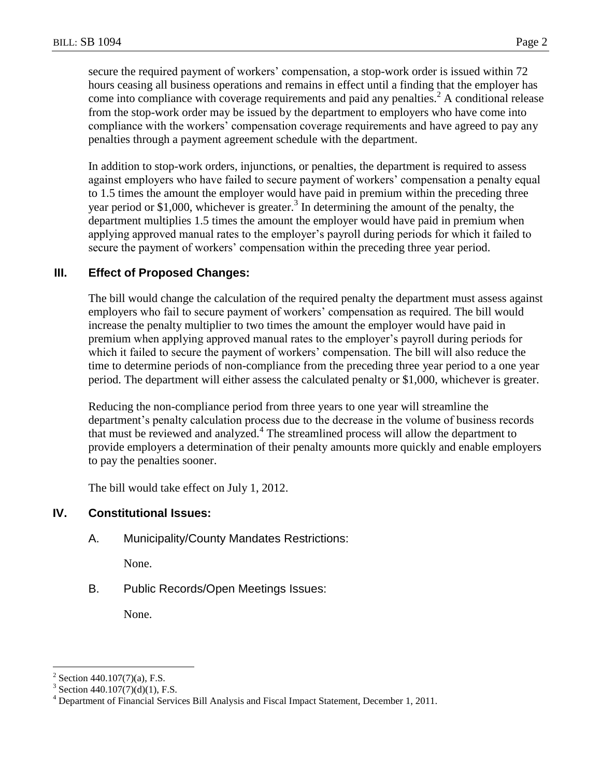secure the required payment of workers' compensation, a stop-work order is issued within 72 hours ceasing all business operations and remains in effect until a finding that the employer has come into compliance with coverage requirements and paid any penalties.<sup>2</sup> A conditional release from the stop-work order may be issued by the department to employers who have come into compliance with the workers' compensation coverage requirements and have agreed to pay any penalties through a payment agreement schedule with the department.

In addition to stop-work orders, injunctions, or penalties, the department is required to assess against employers who have failed to secure payment of workers' compensation a penalty equal to 1.5 times the amount the employer would have paid in premium within the preceding three year period or \$1,000, whichever is greater.<sup>3</sup> In determining the amount of the penalty, the department multiplies 1.5 times the amount the employer would have paid in premium when applying approved manual rates to the employer's payroll during periods for which it failed to secure the payment of workers' compensation within the preceding three year period.

# **III. Effect of Proposed Changes:**

The bill would change the calculation of the required penalty the department must assess against employers who fail to secure payment of workers' compensation as required. The bill would increase the penalty multiplier to two times the amount the employer would have paid in premium when applying approved manual rates to the employer's payroll during periods for which it failed to secure the payment of workers' compensation. The bill will also reduce the time to determine periods of non-compliance from the preceding three year period to a one year period. The department will either assess the calculated penalty or \$1,000, whichever is greater.

Reducing the non-compliance period from three years to one year will streamline the department's penalty calculation process due to the decrease in the volume of business records that must be reviewed and analyzed.<sup>4</sup> The streamlined process will allow the department to provide employers a determination of their penalty amounts more quickly and enable employers to pay the penalties sooner.

The bill would take effect on July 1, 2012.

### **IV. Constitutional Issues:**

A. Municipality/County Mandates Restrictions:

None.

B. Public Records/Open Meetings Issues:

None.

 $\overline{a}$ 

<sup>&</sup>lt;sup>2</sup> Section 440.107(7)(a), F.S.

<sup>3</sup> Section 440.107(7)(d)(1), F.S.

<sup>4</sup> Department of Financial Services Bill Analysis and Fiscal Impact Statement, December 1, 2011.